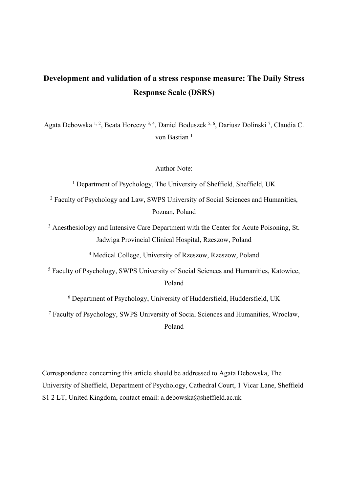# **Development and validation of a stress response measure: The Daily Stress Response Scale (DSRS)**

Agata Debowska <sup>1, 2</sup>, Beata Horeczy <sup>3, 4</sup>, Daniel Boduszek <sup>5, 6</sup>, Dariusz Dolinski <sup>7</sup>, Claudia C. von Bastian<sup>1</sup>

Author Note:

<sup>1</sup> Department of Psychology, The University of Sheffield, Sheffield, UK

<sup>2</sup> Faculty of Psychology and Law, SWPS University of Social Sciences and Humanities, Poznan, Poland

<sup>3</sup> Anesthesiology and Intensive Care Department with the Center for Acute Poisoning, St. Jadwiga Provincial Clinical Hospital, Rzeszow, Poland

<sup>4</sup> Medical College, University of Rzeszow, Rzeszow, Poland

<sup>5</sup> Faculty of Psychology, SWPS University of Social Sciences and Humanities, Katowice, Poland

<sup>6</sup> Department of Psychology, University of Huddersfield, Huddersfield, UK

<sup>7</sup> Faculty of Psychology, SWPS University of Social Sciences and Humanities, Wroclaw, Poland

Correspondence concerning this article should be addressed to Agata Debowska, The University of Sheffield, Department of Psychology, Cathedral Court, 1 Vicar Lane, Sheffield S1 2 LT, United Kingdom, contact email: a.debowska@sheffield.ac.uk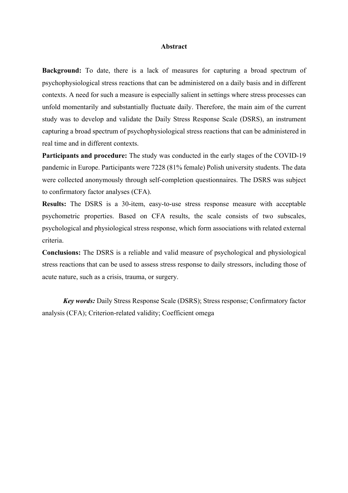## **Abstract**

**Background:** To date, there is a lack of measures for capturing a broad spectrum of psychophysiological stress reactions that can be administered on a daily basis and in different contexts. A need for such a measure is especially salient in settings where stress processes can unfold momentarily and substantially fluctuate daily. Therefore, the main aim of the current study was to develop and validate the Daily Stress Response Scale (DSRS), an instrument capturing a broad spectrum of psychophysiological stress reactions that can be administered in real time and in different contexts.

**Participants and procedure:** The study was conducted in the early stages of the COVID-19 pandemic in Europe. Participants were 7228 (81% female) Polish university students. The data were collected anonymously through self-completion questionnaires. The DSRS was subject to confirmatory factor analyses (CFA).

**Results:** The DSRS is a 30-item, easy-to-use stress response measure with acceptable psychometric properties. Based on CFA results, the scale consists of two subscales, psychological and physiological stress response, which form associations with related external criteria.

**Conclusions:** The DSRS is a reliable and valid measure of psychological and physiological stress reactions that can be used to assess stress response to daily stressors, including those of acute nature, such as a crisis, trauma, or surgery.

*Key words:* Daily Stress Response Scale (DSRS); Stress response; Confirmatory factor analysis (CFA); Criterion-related validity; Coefficient omega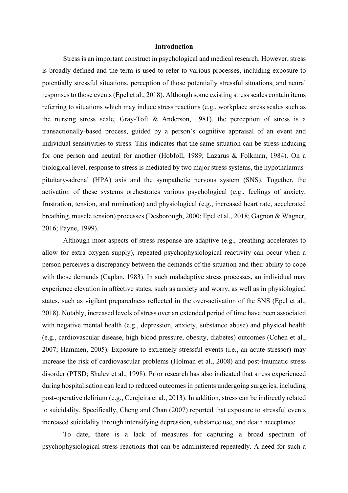## **Introduction**

Stress is an important construct in psychological and medical research. However, stress is broadly defined and the term is used to refer to various processes, including exposure to potentially stressful situations, perception of those potentially stressful situations, and neural responses to those events (Epel et al., 2018). Although some existing stress scales contain items referring to situations which may induce stress reactions (e.g., workplace stress scales such as the nursing stress scale, Gray-Toft & Anderson, 1981), the perception of stress is a transactionally-based process, guided by a person's cognitive appraisal of an event and individual sensitivities to stress. This indicates that the same situation can be stress-inducing for one person and neutral for another (Hobfoll, 1989; Lazarus & Folkman, 1984). On a biological level, response to stress is mediated by two major stress systems, the hypothalamuspituitary-adrenal (HPA) axis and the sympathetic nervous system (SNS). Together, the activation of these systems orchestrates various psychological (e.g., feelings of anxiety, frustration, tension, and rumination) and physiological (e.g., increased heart rate, accelerated breathing, muscle tension) processes (Desborough, 2000; Epel et al., 2018; Gagnon & Wagner, 2016; Payne, 1999).

Although most aspects of stress response are adaptive (e.g., breathing accelerates to allow for extra oxygen supply), repeated psychophysiological reactivity can occur when a person perceives a discrepancy between the demands of the situation and their ability to cope with those demands (Caplan, 1983). In such maladaptive stress processes, an individual may experience elevation in affective states, such as anxiety and worry, as well as in physiological states, such as vigilant preparedness reflected in the over-activation of the SNS (Epel et al., 2018). Notably, increased levels of stress over an extended period of time have been associated with negative mental health (e.g., depression, anxiety, substance abuse) and physical health (e.g., cardiovascular disease, high blood pressure, obesity, diabetes) outcomes (Cohen et al., 2007; Hammen, 2005). Exposure to extremely stressful events (i.e., an acute stressor) may increase the risk of cardiovascular problems (Holman et al., 2008) and post-traumatic stress disorder (PTSD; Shalev et al., 1998). Prior research has also indicated that stress experienced during hospitalisation can lead to reduced outcomes in patients undergoing surgeries, including post-operative delirium (e.g., Cerejeira et al., 2013). In addition, stress can be indirectly related to suicidality. Specifically, Cheng and Chan (2007) reported that exposure to stressful events increased suicidality through intensifying depression, substance use, and death acceptance.

To date, there is a lack of measures for capturing a broad spectrum of psychophysiological stress reactions that can be administered repeatedly. A need for such a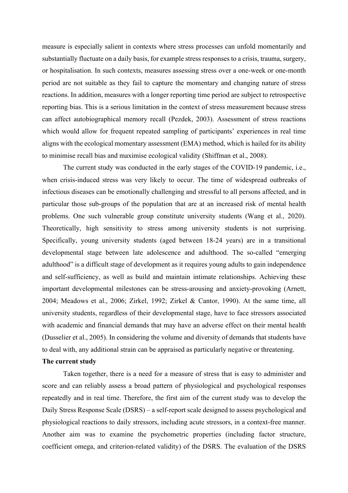measure is especially salient in contexts where stress processes can unfold momentarily and substantially fluctuate on a daily basis, for example stress responses to a crisis, trauma, surgery, or hospitalisation. In such contexts, measures assessing stress over a one-week or one-month period are not suitable as they fail to capture the momentary and changing nature of stress reactions. In addition, measures with a longer reporting time period are subject to retrospective reporting bias. This is a serious limitation in the context of stress measurement because stress can affect autobiographical memory recall (Pezdek, 2003). Assessment of stress reactions which would allow for frequent repeated sampling of participants' experiences in real time aligns with the ecological momentary assessment (EMA) method, which is hailed for its ability to minimise recall bias and maximise ecological validity (Shiffman et al., 2008).

The current study was conducted in the early stages of the COVID-19 pandemic, i.e., when crisis-induced stress was very likely to occur. The time of widespread outbreaks of infectious diseases can be emotionally challenging and stressful to all persons affected, and in particular those sub-groups of the population that are at an increased risk of mental health problems. One such vulnerable group constitute university students (Wang et al., 2020). Theoretically, high sensitivity to stress among university students is not surprising. Specifically, young university students (aged between 18-24 years) are in a transitional developmental stage between late adolescence and adulthood. The so-called "emerging adulthood" is a difficult stage of development as it requires young adults to gain independence and self-sufficiency, as well as build and maintain intimate relationships. Achieving these important developmental milestones can be stress-arousing and anxiety-provoking (Arnett, 2004; Meadows et al., 2006; Zirkel, 1992; Zirkel & Cantor, 1990). At the same time, all university students, regardless of their developmental stage, have to face stressors associated with academic and financial demands that may have an adverse effect on their mental health (Dusselier et al., 2005). In considering the volume and diversity of demands that students have to deal with, any additional strain can be appraised as particularly negative or threatening.

# **The current study**

Taken together, there is a need for a measure of stress that is easy to administer and score and can reliably assess a broad pattern of physiological and psychological responses repeatedly and in real time. Therefore, the first aim of the current study was to develop the Daily Stress Response Scale (DSRS) – a self-report scale designed to assess psychological and physiological reactions to daily stressors, including acute stressors, in a context-free manner. Another aim was to examine the psychometric properties (including factor structure, coefficient omega, and criterion-related validity) of the DSRS. The evaluation of the DSRS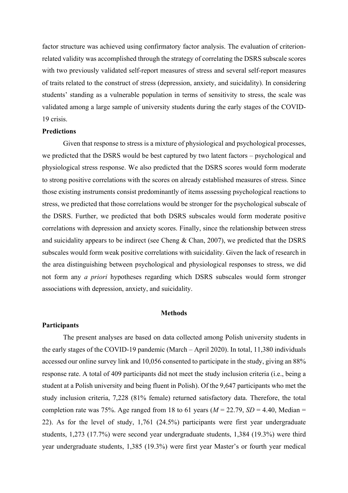factor structure was achieved using confirmatory factor analysis. The evaluation of criterionrelated validity was accomplished through the strategy of correlating the DSRS subscale scores with two previously validated self-report measures of stress and several self-report measures of traits related to the construct of stress (depression, anxiety, and suicidality). In considering students' standing as a vulnerable population in terms of sensitivity to stress, the scale was validated among a large sample of university students during the early stages of the COVID-19 crisis.

# **Predictions**

Given that response to stress is a mixture of physiological and psychological processes, we predicted that the DSRS would be best captured by two latent factors – psychological and physiological stress response. We also predicted that the DSRS scores would form moderate to strong positive correlations with the scores on already established measures of stress. Since those existing instruments consist predominantly of items assessing psychological reactions to stress, we predicted that those correlations would be stronger for the psychological subscale of the DSRS. Further, we predicted that both DSRS subscales would form moderate positive correlations with depression and anxiety scores. Finally, since the relationship between stress and suicidality appears to be indirect (see Cheng & Chan, 2007), we predicted that the DSRS subscales would form weak positive correlations with suicidality. Given the lack of research in the area distinguishing between psychological and physiological responses to stress, we did not form any *a priori* hypotheses regarding which DSRS subscales would form stronger associations with depression, anxiety, and suicidality.

### **Methods**

## **Participants**

The present analyses are based on data collected among Polish university students in the early stages of the COVID-19 pandemic (March – April 2020). In total, 11,380 individuals accessed our online survey link and 10,056 consented to participate in the study, giving an 88% response rate. A total of 409 participants did not meet the study inclusion criteria (i.e., being a student at a Polish university and being fluent in Polish). Of the 9,647 participants who met the study inclusion criteria, 7,228 (81% female) returned satisfactory data. Therefore, the total completion rate was 75%. Age ranged from 18 to 61 years ( $M = 22.79$ ,  $SD = 4.40$ , Median = 22). As for the level of study, 1,761 (24.5%) participants were first year undergraduate students, 1,273 (17.7%) were second year undergraduate students, 1,384 (19.3%) were third year undergraduate students, 1,385 (19.3%) were first year Master's or fourth year medical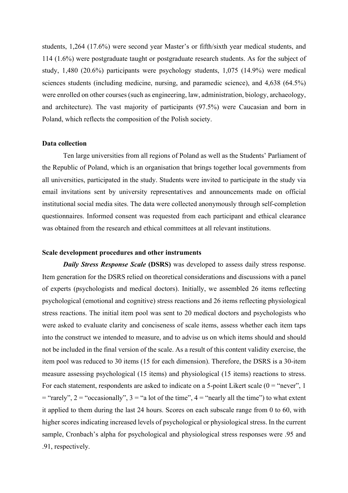students, 1,264 (17.6%) were second year Master's or fifth/sixth year medical students, and 114 (1.6%) were postgraduate taught or postgraduate research students. As for the subject of study, 1,480 (20.6%) participants were psychology students, 1,075 (14.9%) were medical sciences students (including medicine, nursing, and paramedic science), and 4,638 (64.5%) were enrolled on other courses (such as engineering, law, administration, biology, archaeology, and architecture). The vast majority of participants (97.5%) were Caucasian and born in Poland, which reflects the composition of the Polish society.

### **Data collection**

Ten large universities from all regions of Poland as well as the Students' Parliament of the Republic of Poland, which is an organisation that brings together local governments from all universities, participated in the study. Students were invited to participate in the study via email invitations sent by university representatives and announcements made on official institutional social media sites. The data were collected anonymously through self-completion questionnaires. Informed consent was requested from each participant and ethical clearance was obtained from the research and ethical committees at all relevant institutions.

## **Scale development procedures and other instruments**

*Daily Stress Response Scale* (DSRS) was developed to assess daily stress response. Item generation for the DSRS relied on theoretical considerations and discussions with a panel of experts (psychologists and medical doctors). Initially, we assembled 26 items reflecting psychological (emotional and cognitive) stress reactions and 26 items reflecting physiological stress reactions. The initial item pool was sent to 20 medical doctors and psychologists who were asked to evaluate clarity and conciseness of scale items, assess whether each item taps into the construct we intended to measure, and to advise us on which items should and should not be included in the final version of the scale. As a result of this content validity exercise, the item pool was reduced to 30 items (15 for each dimension). Therefore, the DSRS is a 30-item measure assessing psychological (15 items) and physiological (15 items) reactions to stress. For each statement, respondents are asked to indicate on a 5-point Likert scale  $(0 = "never", 1$  $=$  "rarely", 2 = "occasionally", 3 = "a lot of the time", 4 = "nearly all the time") to what extent it applied to them during the last 24 hours. Scores on each subscale range from 0 to 60, with higher scores indicating increased levels of psychological or physiological stress. In the current sample, Cronbach's alpha for psychological and physiological stress responses were .95 and .91, respectively.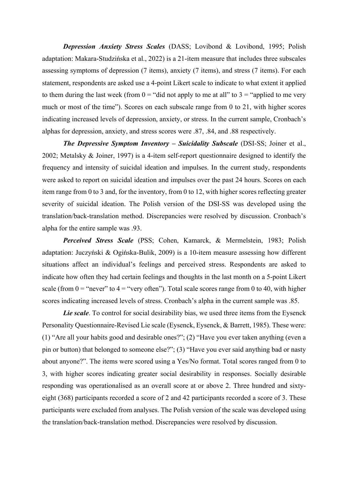*Depression Anxiety Stress Scales* (DASS; Lovibond & Lovibond, 1995; Polish adaptation: Makara-Studzińska et al., 2022) is a 21-item measure that includes three subscales assessing symptoms of depression (7 items), anxiety (7 items), and stress (7 items). For each statement, respondents are asked use a 4-point Likert scale to indicate to what extent it applied to them during the last week (from  $0 =$  "did not apply to me at all" to  $3 =$  "applied to me very much or most of the time"). Scores on each subscale range from 0 to 21, with higher scores indicating increased levels of depression, anxiety, or stress. In the current sample, Cronbach's alphas for depression, anxiety, and stress scores were .87, .84, and .88 respectively.

*The Depressive Symptom Inventory – Suicidality Subscale* (DSI-SS; Joiner et al., 2002; Metalsky & Joiner, 1997) is a 4-item self-report questionnaire designed to identify the frequency and intensity of suicidal ideation and impulses. In the current study, respondents were asked to report on suicidal ideation and impulses over the past 24 hours. Scores on each item range from 0 to 3 and, for the inventory, from 0 to 12, with higher scores reflecting greater severity of suicidal ideation. The Polish version of the DSI-SS was developed using the translation/back-translation method. Discrepancies were resolved by discussion. Cronbach's alpha for the entire sample was .93.

*Perceived Stress Scale* (PSS; Cohen, Kamarck, & Mermelstein, 1983; Polish adaptation: Juczyński & Ogińska-Bulik, 2009) is a 10-item measure assessing how different situations affect an individual's feelings and perceived stress. Respondents are asked to indicate how often they had certain feelings and thoughts in the last month on a 5-point Likert scale (from  $0 =$  "never" to  $4 =$  "very often"). Total scale scores range from 0 to 40, with higher scores indicating increased levels of stress. Cronbach's alpha in the current sample was .85.

*Lie scale*. To control for social desirability bias, we used three items from the Eysenck Personality Questionnaire-Revised Lie scale (Eysenck, Eysenck, & Barrett, 1985). These were: (1) "Are all your habits good and desirable ones?"; (2) "Have you ever taken anything (even a pin or button) that belonged to someone else?"; (3) "Have you ever said anything bad or nasty about anyone?". The items were scored using a Yes/No format. Total scores ranged from 0 to 3, with higher scores indicating greater social desirability in responses. Socially desirable responding was operationalised as an overall score at or above 2. Three hundred and sixtyeight (368) participants recorded a score of 2 and 42 participants recorded a score of 3. These participants were excluded from analyses. The Polish version of the scale was developed using the translation/back-translation method. Discrepancies were resolved by discussion.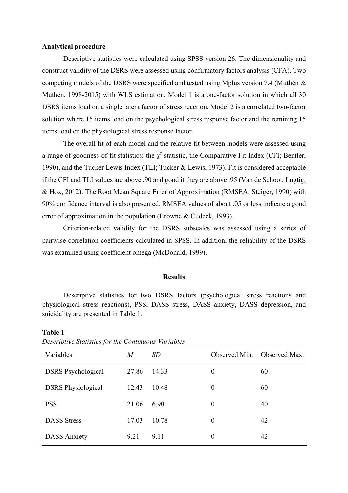## **Analytical procedure**

Descriptive statistics were calculated using SPSS version 26. The dimensionality and construct validity of the DSRS were assessed using confirmatory factors analysis (CFA). Two competing models of the DSRS were specified and tested using Mplus version 7.4 (Muthén & Muthén, 1998-2015) with WLS estimation. Model 1 is a one-factor solution in which all 30 DSRS items load on a single latent factor of stress reaction. Model 2 is a correlated two-factor solution where 15 items load on the psychological stress response factor and the remining 15 items load on the physiological stress response factor.

The overall fit of each model and the relative fit between models were assessed using a range of goodness-of-fit statistics: the  $\chi^2$  statistic, the Comparative Fit Index (CFI; Bentler, 1990), and the Tucker Lewis Index (TLI; Tucker & Lewis, 1973). Fit is considered acceptable if the CFI and TLI values are above .90 and good if they are above .95 (Van de Schoot, Lugtig, & Hox, 2012). The Root Mean Square Error of Approximation (RMSEA; Steiger, 1990) with 90% confidence interval is also presented. RMSEA values of about .05 or less indicate a good error of approximation in the population (Browne & Cudeck, 1993).

Criterion-related validity for the DSRS subscales was assessed using a series of pairwise correlation coefficients calculated in SPSS. In addition, the reliability of the DSRS was examined using coefficient omega (McDonald, 1999).

#### **Results**

Descriptive statistics for two DSRS factors (psychological stress reactions and physiological stress reactions), PSS, DASS stress, DASS anxiety, DASS depression, and suicidality are presented in Table 1.

| Descriptive statistics for the Continuous rariables |       |           |                  |               |  |  |  |  |  |
|-----------------------------------------------------|-------|-----------|------------------|---------------|--|--|--|--|--|
| Variables                                           | M     | <i>SD</i> | Observed Min.    | Observed Max. |  |  |  |  |  |
| <b>DSRS</b> Psychological                           | 27.86 | 14.33     | $\theta$         | 60            |  |  |  |  |  |
| <b>DSRS</b> Physiological                           | 12.43 | 10.48     | $\boldsymbol{0}$ | 60            |  |  |  |  |  |
| <b>PSS</b>                                          | 21.06 | 6.90      | $\theta$         | 40            |  |  |  |  |  |
| <b>DASS</b> Stress                                  | 17.03 | 10.78     | $\boldsymbol{0}$ | 42            |  |  |  |  |  |
| <b>DASS Anxiety</b>                                 | 9.21  | 9.11      | $\boldsymbol{0}$ | 42            |  |  |  |  |  |

**Table 1** 

| Descriptive Statistics for the Continuous Variables |  |  |  |
|-----------------------------------------------------|--|--|--|
|-----------------------------------------------------|--|--|--|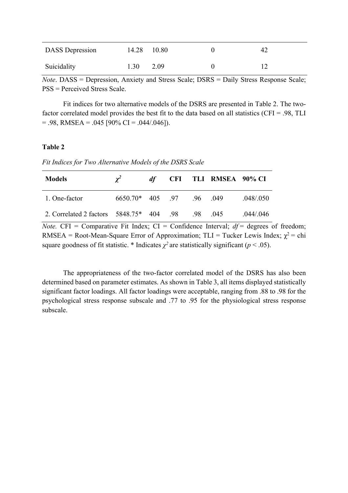| <b>DASS</b> Depression | 14.28 10.80 |      |  |
|------------------------|-------------|------|--|
| Suicidality            | 1.30        | 2.09 |  |

*Note*. DASS = Depression, Anxiety and Stress Scale; DSRS = Daily Stress Response Scale; PSS = Perceived Stress Scale.

Fit indices for two alternative models of the DSRS are presented in Table 2. The twofactor correlated model provides the best fit to the data based on all statistics (CFI = .98, TLI  $= .98$ , RMSEA  $= .045$  [90% CI  $= .044/.046$ ]).

# **Table 2**

*Fit Indices for Two Alternative Models of the DSRS Scale*

| <b>Models</b>                                     | $\chi^2$                    | df — |  | <b>CFI TLI RMSEA 90% CI</b> |           |
|---------------------------------------------------|-----------------------------|------|--|-----------------------------|-----------|
| 1. One-factor                                     | $6650.70*$ 405 .97 .96 .049 |      |  |                             | .048/.050 |
| 2. Correlated 2 factors 5848.75* 404 .98 .98 .045 |                             |      |  |                             | .044/.046 |

*Note.* CFI = Comparative Fit Index; CI = Confidence Interval;  $df =$  degrees of freedom; RMSEA = Root-Mean-Square Error of Approximation; TLI = Tucker Lewis Index;  $\chi^2$  = chi square goodness of fit statistic. \* Indicates  $\chi^2$  are statistically significant ( $p < .05$ ).

The appropriateness of the two-factor correlated model of the DSRS has also been determined based on parameter estimates. As shown in Table 3, all items displayed statistically significant factor loadings. All factor loadings were acceptable, ranging from .88 to .98 for the psychological stress response subscale and .77 to .95 for the physiological stress response subscale.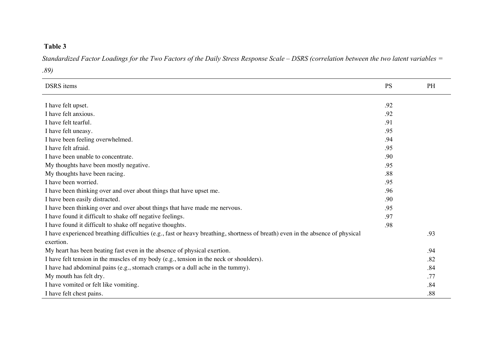# **Table 3**

*Standardized Factor Loadings for the Two Factors of the Daily Stress Response Scale – DSRS (correlation between the two latent variables =* 

*.89)*

| <b>DSRS</b> items                                                                                                              | <b>PS</b> | PH  |
|--------------------------------------------------------------------------------------------------------------------------------|-----------|-----|
| I have felt upset.                                                                                                             | .92       |     |
| I have felt anxious.                                                                                                           | .92       |     |
| I have felt tearful.                                                                                                           | .91       |     |
| I have felt uneasy.                                                                                                            | .95       |     |
| I have been feeling overwhelmed.                                                                                               | .94       |     |
| I have felt afraid.                                                                                                            | .95       |     |
| I have been unable to concentrate.                                                                                             | .90       |     |
| My thoughts have been mostly negative.                                                                                         | .95       |     |
| My thoughts have been racing.                                                                                                  | .88       |     |
| I have been worried.                                                                                                           | .95       |     |
| I have been thinking over and over about things that have upset me.                                                            | .96       |     |
| I have been easily distracted.                                                                                                 | .90       |     |
| I have been thinking over and over about things that have made me nervous.                                                     | .95       |     |
| I have found it difficult to shake off negative feelings.                                                                      | .97       |     |
| I have found it difficult to shake off negative thoughts.                                                                      | .98       |     |
| I have experienced breathing difficulties (e.g., fast or heavy breathing, shortness of breath) even in the absence of physical |           | .93 |
| exertion.                                                                                                                      |           |     |
| My heart has been beating fast even in the absence of physical exertion.                                                       |           | .94 |
| I have felt tension in the muscles of my body (e.g., tension in the neck or shoulders).                                        |           | .82 |
| I have had abdominal pains (e.g., stomach cramps or a dull ache in the tummy).                                                 |           | .84 |
| My mouth has felt dry.                                                                                                         |           | .77 |
| I have vomited or felt like vomiting.                                                                                          |           | .84 |
| I have felt chest pains.                                                                                                       |           | .88 |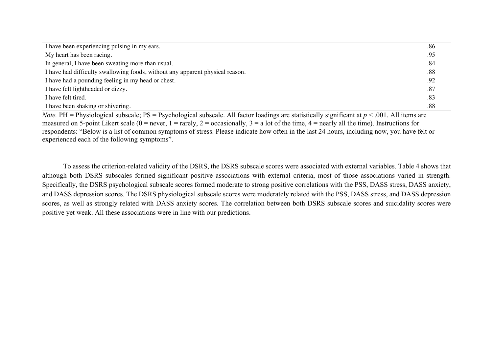| I have been experiencing pulsing in my ears.                                  | .86 |
|-------------------------------------------------------------------------------|-----|
| My heart has been racing.                                                     | .95 |
| In general, I have been sweating more than usual.                             | .84 |
| I have had difficulty swallowing foods, without any apparent physical reason. | .88 |
| I have had a pounding feeling in my head or chest.                            | .92 |
| I have felt lightheaded or dizzy.                                             | .87 |
| I have felt tired.                                                            | .83 |
| I have been shaking or shivering.                                             | .88 |

*Note.* PH = Physiological subscale; PS = Psychological subscale. All factor loadings are statistically significant at  $p < .001$ . All items are measured on 5-point Likert scale ( $0 =$  never,  $1 =$  rarely,  $2 =$  occasionally,  $3 =$  a lot of the time,  $4 =$  nearly all the time). Instructions for respondents: "Below is a list of common symptoms of stress. Please indicate how often in the last 24 hours, including now, you have felt or experienced each of the following symptoms".

To assess the criterion-related validity of the DSRS, the DSRS subscale scores were associated with external variables. Table 4 shows that although both DSRS subscales formed significant positive associations with external criteria, most of those associations varied in strength. Specifically, the DSRS psychological subscale scores formed moderate to strong positive correlations with the PSS, DASS stress, DASS anxiety, and DASS depression scores. The DSRS physiological subscale scores were moderately related with the PSS, DASS stress, and DASS depression scores, as well as strongly related with DASS anxiety scores. The correlation between both DSRS subscale scores and suicidality scores were positive yet weak. All these associations were in line with our predictions.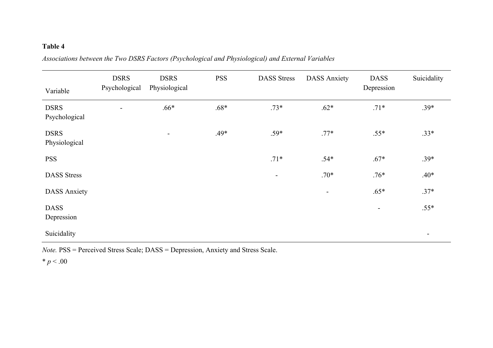# **Table 4**

| Variable                     | <b>DSRS</b><br>Psychological | <b>DSRS</b><br>Physiological | <b>PSS</b> | <b>DASS</b> Stress       | <b>DASS Anxiety</b>      | <b>DASS</b><br>Depression | Suicidality              |
|------------------------------|------------------------------|------------------------------|------------|--------------------------|--------------------------|---------------------------|--------------------------|
| <b>DSRS</b><br>Psychological | $\overline{\phantom{a}}$     | $.66*$                       | $.68*$     | $.73*$                   | $.62*$                   | $.71*$                    | $.39*$                   |
| <b>DSRS</b><br>Physiological |                              | $\overline{\phantom{0}}$     | .49*       | $.59*$                   | $.77*$                   | $.55*$                    | $.33*$                   |
| <b>PSS</b>                   |                              |                              |            | $.71*$                   | $.54*$                   | $.67*$                    | $.39*$                   |
| <b>DASS</b> Stress           |                              |                              |            | $\overline{\phantom{a}}$ | $.70*$                   | $.76*$                    | $.40*$                   |
| <b>DASS Anxiety</b>          |                              |                              |            |                          | $\overline{\phantom{a}}$ | $.65*$                    | $.37*$                   |
| <b>DASS</b><br>Depression    |                              |                              |            |                          |                          | -                         | $.55*$                   |
| Suicidality                  |                              |                              |            |                          |                          |                           | $\overline{\phantom{a}}$ |

*Associations between the Two DSRS Factors (Psychological and Physiological) and External Variables* 

*Note.* PSS = Perceived Stress Scale; DASS = Depression, Anxiety and Stress Scale.

 $* p < .00$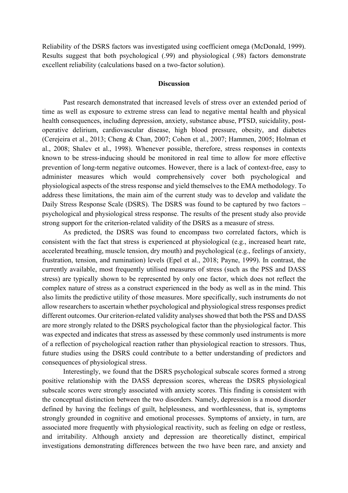Reliability of the DSRS factors was investigated using coefficient omega (McDonald, 1999). Results suggest that both psychological (.99) and physiological (.98) factors demonstrate excellent reliability (calculations based on a two-factor solution).

#### **Discussion**

Past research demonstrated that increased levels of stress over an extended period of time as well as exposure to extreme stress can lead to negative mental health and physical health consequences, including depression, anxiety, substance abuse, PTSD, suicidality, postoperative delirium, cardiovascular disease, high blood pressure, obesity, and diabetes (Cerejeira et al., 2013; Cheng & Chan, 2007; Cohen et al., 2007; Hammen, 2005; Holman et al., 2008; Shalev et al., 1998). Whenever possible, therefore, stress responses in contexts known to be stress-inducing should be monitored in real time to allow for more effective prevention of long-term negative outcomes. However, there is a lack of context-free, easy to administer measures which would comprehensively cover both psychological and physiological aspects of the stress response and yield themselves to the EMA methodology. To address these limitations, the main aim of the current study was to develop and validate the Daily Stress Response Scale (DSRS). The DSRS was found to be captured by two factors – psychological and physiological stress response. The results of the present study also provide strong support for the criterion-related validity of the DSRS as a measure of stress.

As predicted, the DSRS was found to encompass two correlated factors, which is consistent with the fact that stress is experienced at physiological (e.g., increased heart rate, accelerated breathing, muscle tension, dry mouth) and psychological (e.g., feelings of anxiety, frustration, tension, and rumination) levels (Epel et al., 2018; Payne, 1999). In contrast, the currently available, most frequently utilised measures of stress (such as the PSS and DASS stress) are typically shown to be represented by only one factor, which does not reflect the complex nature of stress as a construct experienced in the body as well as in the mind. This also limits the predictive utility of those measures. More specifically, such instruments do not allow researchers to ascertain whether psychological and physiological stress responses predict different outcomes. Our criterion-related validity analyses showed that both the PSS and DASS are more strongly related to the DSRS psychological factor than the physiological factor. This was expected and indicates that stress as assessed by these commonly used instruments is more of a reflection of psychological reaction rather than physiological reaction to stressors. Thus, future studies using the DSRS could contribute to a better understanding of predictors and consequences of physiological stress.

Interestingly, we found that the DSRS psychological subscale scores formed a strong positive relationship with the DASS depression scores, whereas the DSRS physiological subscale scores were strongly associated with anxiety scores. This finding is consistent with the conceptual distinction between the two disorders. Namely, depression is a mood disorder defined by having the feelings of guilt, helplessness, and worthlessness, that is, symptoms strongly grounded in cognitive and emotional processes. Symptoms of anxiety, in turn, are associated more frequently with physiological reactivity, such as feeling on edge or restless, and irritability. Although anxiety and depression are theoretically distinct, empirical investigations demonstrating differences between the two have been rare, and anxiety and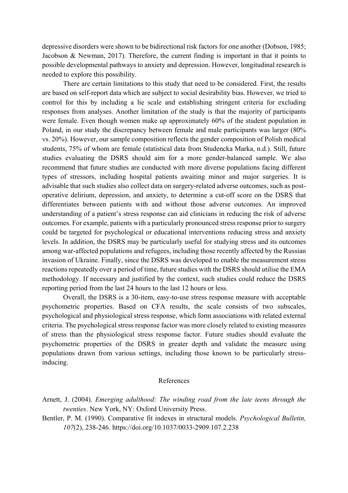depressive disorders were shown to be bidirectional risk factors for one another (Dobson, 1985; Jacobson & Newman, 2017). Therefore, the current finding is important in that it points to possible developmental pathways to anxiety and depression. However, longitudinal research is needed to explore this possibility.

There are certain limitations to this study that need to be considered. First, the results are based on self-report data which are subject to social desirability bias. However, we tried to control for this by including a lie scale and establishing stringent criteria for excluding responses from analyses. Another limitation of the study is that the majority of participants were female. Even though women make up approximately 60% of the student population in Poland, in our study the discrepancy between female and male participants was larger (80% vs. 20%). However, our sample composition reflects the gender composition of Polish medical students, 75% of whom are female (statistical data from Studencka Marka, n.d.). Still, future studies evaluating the DSRS should aim for a more gender-balanced sample. We also recommend that future studies are conducted with more diverse populations facing different types of stressors, including hospital patients awaiting minor and major surgeries. It is advisable that such studies also collect data on surgery-related adverse outcomes, such as postoperative delirium, depression, and anxiety, to determine a cut-off score on the DSRS that differentiates between patients with and without those adverse outcomes. An improved understanding of a patient's stress response can aid clinicians in reducing the risk of adverse outcomes. For example, patients with a particularly pronounced stress response prior to surgery could be targeted for psychological or educational interventions reducing stress and anxiety levels. In addition, the DSRS may be particularly useful for studying stress and its outcomes among war-affected populations and refugees, including those recently affected by the Russian invasion of Ukraine. Finally, since the DSRS was developed to enable the measurement stress reactions repeatedly over a period of time, future studies with the DSRS should utilise the EMA methodology. If necessary and justified by the context, such studies could reduce the DSRS reporting period from the last 24 hours to the last 12 hours or less.

Overall, the DSRS is a 30-item, easy-to-use stress response measure with acceptable psychometric properties. Based on CFA results, the scale consists of two subscales, psychological and physiological stress response, which form associations with related external criteria. The psychological stress response factor was more closely related to existing measures of stress than the physiological stress response factor. Future studies should evaluate the psychometric properties of the DSRS in greater depth and validate the measure using populations drawn from various settings, including those known to be particularly stressinducing.

## References

Bentler, P. M. (1990). Comparative fit indexes in structural models. *Psychological Bulletin, 107*(2), 238-246. https://doi.org/10.1037/0033-2909.107.2.238

Arnett, J. (2004). *Emerging adulthood: The winding road from the late teens through the twenties*. New York, NY: Oxford University Press.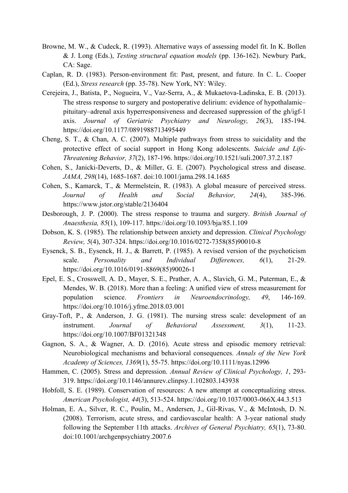- Browne, M. W., & Cudeck, R. (1993). Alternative ways of assessing model fit. In K. Bollen & J. Long (Eds.), *Testing structural equation models* (pp. 136-162). Newbury Park, CA: Sage.
- Caplan, R. D. (1983). Person-environment fit: Past, present, and future. In C. L. Cooper (Ed.), *Stress research* (pp. 35-78). New York, NY: Wiley.
- Cerejeira, J., Batista, P., Nogueira, V., Vaz-Serra, A., & Mukaetova-Ladinska, E. B. (2013). The stress response to surgery and postoperative delirium: evidence of hypothalamic– pituitary–adrenal axis hyperresponsiveness and decreased suppression of the gh/igf-1 axis. *Journal of Geriatric Psychiatry and Neurology, 26*(3), 185-194. https://doi.org/10.1177/0891988713495449
- Cheng, S. T., & Chan, A. C. (2007). Multiple pathways from stress to suicidality and the protective effect of social support in Hong Kong adolescents. *Suicide and Life-Threatening Behavior, 37*(2), 187-196. https://doi.org/10.1521/suli.2007.37.2.187
- Cohen, S., Janicki-Deverts, D., & Miller, G. E. (2007). Psychological stress and disease. *JAMA, 298*(14), 1685-1687. doi:10.1001/jama.298.14.1685
- Cohen, S., Kamarck, T., & Mermelstein, R. (1983). A global measure of perceived stress. *Journal of Health and Social Behavior, 24*(4), 385-396. https://www.jstor.org/stable/2136404
- Desborough, J. P. (2000). The stress response to trauma and surgery. *British Journal of Anaesthesia, 85*(1), 109-117. https://doi.org/10.1093/bja/85.1.109
- Dobson, K. S. (1985). The relationship between anxiety and depression. *Clinical Psychology Review, 5*(4), 307-324. https://doi.org/10.1016/0272-7358(85)90010-8
- Eysenck, S. B., Eysenck, H. J., & Barrett, P. (1985). A revised version of the psychoticism scale. *Personality and Individual Differences, 6*(1), 21-29. https://doi.org/10.1016/0191-8869(85)90026-1
- Epel, E. S., Crosswell, A. D., Mayer, S. E., Prather, A. A., Slavich, G. M., Puterman, E., & Mendes, W. B. (2018). More than a feeling: A unified view of stress measurement for population science. *Frontiers in Neuroendocrinology, 49*, 146-169. https://doi.org/10.1016/j.yfrne.2018.03.001
- Gray-Toft, P., & Anderson, J. G. (1981). The nursing stress scale: development of an instrument. *Journal of Behavioral Assessment, 3*(1), 11-23. https://doi.org/10.1007/BF01321348
- Gagnon, S. A., & Wagner, A. D. (2016). Acute stress and episodic memory retrieval: Neurobiological mechanisms and behavioral consequences. *Annals of the New York Academy of Sciences, 1369*(1), 55-75. https://doi.org/10.1111/nyas.12996
- Hammen, C. (2005). Stress and depression. *Annual Review of Clinical Psychology, 1*, 293- 319. https://doi.org/10.1146/annurev.clinpsy.1.102803.143938
- Hobfoll, S. E. (1989). Conservation of resources: A new attempt at conceptualizing stress. *American Psychologist, 44*(3), 513-524. https://doi.org/10.1037/0003-066X.44.3.513
- Holman, E. A., Silver, R. C., Poulin, M., Andersen, J., Gil-Rivas, V., & McIntosh, D. N. (2008). Terrorism, acute stress, and cardiovascular health: A 3-year national study following the September 11th attacks. *Archives of General Psychiatry, 65*(1), 73-80. doi:10.1001/archgenpsychiatry.2007.6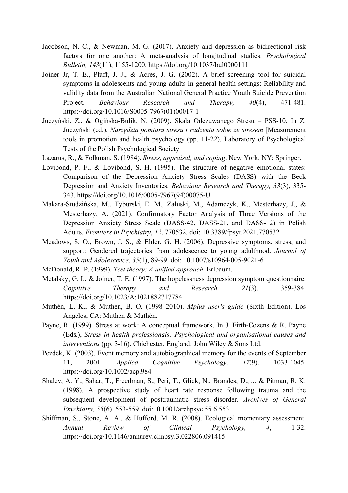- Jacobson, N. C., & Newman, M. G. (2017). Anxiety and depression as bidirectional risk factors for one another: A meta-analysis of longitudinal studies. *Psychological Bulletin, 143*(11), 1155-1200. https://doi.org/10.1037/bul0000111
- Joiner Jr, T. E., Pfaff, J. J., & Acres, J. G. (2002). A brief screening tool for suicidal symptoms in adolescents and young adults in general health settings: Reliability and validity data from the Australian National General Practice Youth Suicide Prevention Project. *Behaviour Research and Therapy, 40*(4), 471-481. https://doi.org/10.1016/S0005-7967(01)00017-1
- Juczyński, Z., & Ogińska-Bulik, N. (2009). Skala Odczuwanego Stresu PSS-10. In Z. Juczyński (ed.), *Narzędzia pomiaru stresu i radzenia sobie ze stresem* [Measurement tools in promotion and health psychology (pp. 11-22). Laboratory of Psychological Tests of the Polish Psychological Society
- Lazarus, R., & Folkman, S. (1984). *Stress, appraisal, and coping*. New York, NY: Springer.
- Lovibond, P. F., & Lovibond, S. H. (1995). The structure of negative emotional states: Comparison of the Depression Anxiety Stress Scales (DASS) with the Beck Depression and Anxiety Inventories. *Behaviour Research and Therapy, 33*(3), 335- 343. https://doi.org/10.1016/0005-7967(94)00075-U
- Makara-Studzińska, M., Tyburski, E. M., Załuski, M., Adamczyk, K., Mesterhazy, J., & Mesterhazy, A. (2021). Confirmatory Factor Analysis of Three Versions of the Depression Anxiety Stress Scale (DASS-42, DASS-21, and DASS-12) in Polish Adults. *Frontiers in Psychiatry*, *12*, 770532. doi: 10.3389/fpsyt.2021.770532
- Meadows, S. O., Brown, J. S., & Elder, G. H. (2006). Depressive symptoms, stress, and support: Gendered trajectories from adolescence to young adulthood. *Journal of Youth and Adolescence, 35*(1), 89-99. doi: 10.1007/s10964-005-9021-6
- McDonald, R. P. (1999). *Test theory: A unified approach*. Erlbaum.
- Metalsky, G. I., & Joiner, T. E. (1997). The hopelessness depression symptom questionnaire. *Cognitive Therapy and Research, 21*(3), 359-384. https://doi.org/10.1023/A:1021882717784
- Muthén, L. K., & Muthén, B. O. (1998–2010). *Mplus user's guide* (Sixth Edition). Los Angeles, CA: Muthén & Muthén.
- Payne, R. (1999). Stress at work: A conceptual framework. In J. Firth-Cozens & R. Payne (Eds.), *Stress in health professionals: Psychological and organisational causes and interventions* (pp. 3-16). Chichester, England: John Wiley & Sons Ltd.
- Pezdek, K. (2003). Event memory and autobiographical memory for the events of September 11, 2001. *Applied Cognitive Psychology, 17*(9), 1033-1045. https://doi.org/10.1002/acp.984
- Shalev, A. Y., Sahar, T., Freedman, S., Peri, T., Glick, N., Brandes, D., ... & Pitman, R. K. (1998). A prospective study of heart rate response following trauma and the subsequent development of posttraumatic stress disorder. *Archives of General Psychiatry, 55*(6), 553-559. doi:10.1001/archpsyc.55.6.553
- Shiffman, S., Stone, A. A., & Hufford, M. R. (2008). Ecological momentary assessment. *Annual Review of Clinical Psychology, 4*, 1-32. https://doi.org/10.1146/annurev.clinpsy.3.022806.091415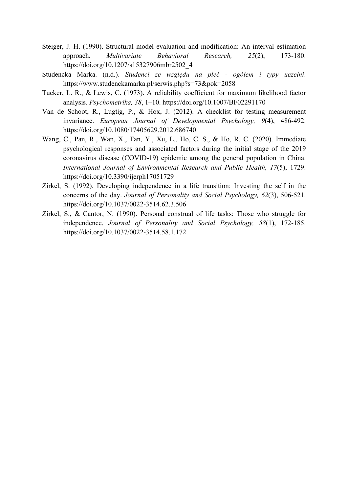- Steiger, J. H. (1990). Structural model evaluation and modification: An interval estimation approach. *Multivariate Behavioral Research, 25*(2), 173-180. https://doi.org/10.1207/s15327906mbr2502\_4
- Studencka Marka. (n.d.). *Studenci ze względu na płeć - ogółem i typy uczelni*. https://www.studenckamarka.pl/serwis.php?s=73&pok=2058
- Tucker, L. R., & Lewis, C. (1973). A reliability coefficient for maximum likelihood factor analysis. *Psychometrika, 38*, 1–10. https://doi.org/10.1007/BF02291170
- Van de Schoot, R., Lugtig, P., & Hox, J. (2012). A checklist for testing measurement invariance. *European Journal of Developmental Psychology, 9*(4), 486-492. https://doi.org/10.1080/17405629.2012.686740
- Wang, C., Pan, R., Wan, X., Tan, Y., Xu, L., Ho, C. S., & Ho, R. C. (2020). Immediate psychological responses and associated factors during the initial stage of the 2019 coronavirus disease (COVID-19) epidemic among the general population in China. *International Journal of Environmental Research and Public Health, 17*(5), 1729. https://doi.org/10.3390/ijerph17051729
- Zirkel, S. (1992). Developing independence in a life transition: Investing the self in the concerns of the day. *Journal of Personality and Social Psychology, 62*(3), 506-521. https://doi.org/10.1037/0022-3514.62.3.506
- Zirkel, S., & Cantor, N. (1990). Personal construal of life tasks: Those who struggle for independence. *Journal of Personality and Social Psychology, 58*(1), 172-185. https://doi.org/10.1037/0022-3514.58.1.172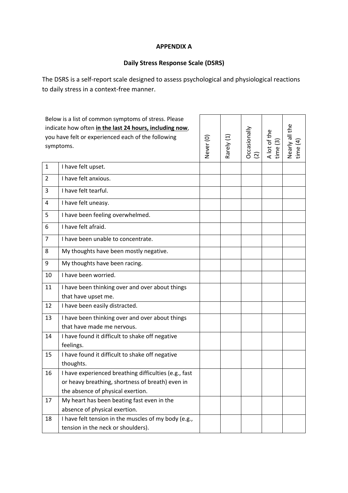# **APPENDIX A**

# **Daily Stress Response Scale (DSRS)**

The DSRS is a self-report scale designed to assess psychological and physiological reactions to daily stress in a context-free manner.

|                                                         | Below is a list of common symptoms of stress. Please  |           |            |                 |                          |                            |
|---------------------------------------------------------|-------------------------------------------------------|-----------|------------|-----------------|--------------------------|----------------------------|
| indicate how often in the last 24 hours, including now, |                                                       |           |            |                 |                          | Nearly all the<br>time (4) |
|                                                         | you have felt or experienced each of the following    |           |            |                 |                          |                            |
|                                                         | symptoms.                                             | Never (0) | Rarely (1) | Occasionally    | A lot of the<br>time (3) |                            |
|                                                         |                                                       |           |            | $\widetilde{2}$ |                          |                            |
| $\mathbf 1$                                             | I have felt upset.                                    |           |            |                 |                          |                            |
| $\overline{2}$                                          | I have felt anxious.                                  |           |            |                 |                          |                            |
| 3                                                       | I have felt tearful.                                  |           |            |                 |                          |                            |
| 4                                                       | I have felt uneasy.                                   |           |            |                 |                          |                            |
| 5                                                       | I have been feeling overwhelmed.                      |           |            |                 |                          |                            |
| 6                                                       | I have felt afraid.                                   |           |            |                 |                          |                            |
| $\overline{7}$                                          | I have been unable to concentrate.                    |           |            |                 |                          |                            |
| 8                                                       | My thoughts have been mostly negative.                |           |            |                 |                          |                            |
| 9                                                       | My thoughts have been racing.                         |           |            |                 |                          |                            |
| 10                                                      | I have been worried.                                  |           |            |                 |                          |                            |
| 11                                                      | I have been thinking over and over about things       |           |            |                 |                          |                            |
|                                                         | that have upset me.                                   |           |            |                 |                          |                            |
| 12                                                      | I have been easily distracted.                        |           |            |                 |                          |                            |
| 13                                                      | I have been thinking over and over about things       |           |            |                 |                          |                            |
|                                                         | that have made me nervous.                            |           |            |                 |                          |                            |
| 14                                                      | I have found it difficult to shake off negative       |           |            |                 |                          |                            |
|                                                         | feelings.                                             |           |            |                 |                          |                            |
| 15                                                      | I have found it difficult to shake off negative       |           |            |                 |                          |                            |
|                                                         | thoughts.                                             |           |            |                 |                          |                            |
| 16                                                      | I have experienced breathing difficulties (e.g., fast |           |            |                 |                          |                            |
|                                                         | or heavy breathing, shortness of breath) even in      |           |            |                 |                          |                            |
|                                                         | the absence of physical exertion.                     |           |            |                 |                          |                            |
| 17                                                      | My heart has been beating fast even in the            |           |            |                 |                          |                            |
|                                                         | absence of physical exertion.                         |           |            |                 |                          |                            |
| 18                                                      | I have felt tension in the muscles of my body (e.g.,  |           |            |                 |                          |                            |
|                                                         | tension in the neck or shoulders).                    |           |            |                 |                          |                            |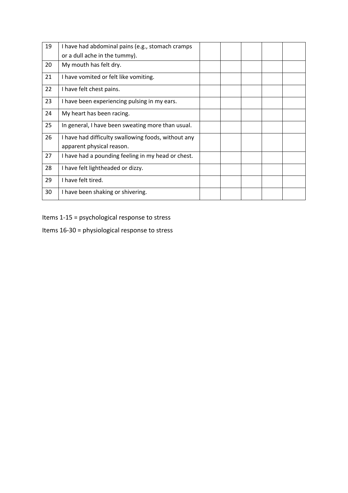| 19 | I have had abdominal pains (e.g., stomach cramps    |  |  |  |
|----|-----------------------------------------------------|--|--|--|
|    | or a dull ache in the tummy).                       |  |  |  |
| 20 | My mouth has felt dry.                              |  |  |  |
| 21 | I have vomited or felt like vomiting.               |  |  |  |
| 22 | I have felt chest pains.                            |  |  |  |
| 23 | I have been experiencing pulsing in my ears.        |  |  |  |
| 24 | My heart has been racing.                           |  |  |  |
| 25 | In general, I have been sweating more than usual.   |  |  |  |
| 26 | I have had difficulty swallowing foods, without any |  |  |  |
|    | apparent physical reason.                           |  |  |  |
| 27 | I have had a pounding feeling in my head or chest.  |  |  |  |
| 28 | I have felt lightheaded or dizzy.                   |  |  |  |
| 29 | I have felt tired.                                  |  |  |  |
| 30 | I have been shaking or shivering.                   |  |  |  |

Items 1-15 = psychological response to stress

Items 16-30 = physiological response to stress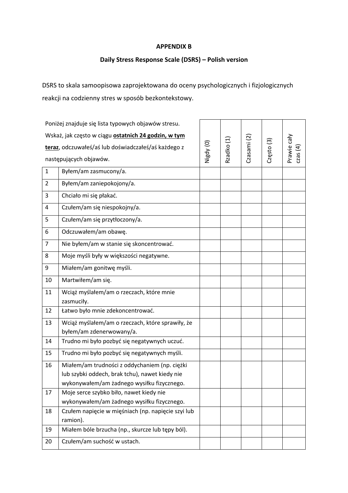# **APPENDIX B**

# **Daily Stress Response Scale (DSRS) – Polish version**

DSRS to skala samoopisowa zaprojektowana do oceny psychologicznych i fizjologicznych reakcji na codzienny stres w sposób bezkontekstowy.

|                | Poniżej znajduje się lista typowych objawów stresu.  |           |            |             |            |             |
|----------------|------------------------------------------------------|-----------|------------|-------------|------------|-------------|
|                | Wskaż, jak często w ciągu ostatnich 24 godzin, w tym |           |            |             |            |             |
|                | teraz, odczuwałeś/aś lub doświadczałeś/aś każdego z  | Nigdy (0) | Rzadko (1) | Czasami (2) | Często (3) | Prawie cały |
|                | następujących objawów.                               |           |            |             |            | cas(4)      |
| $\mathbf{1}$   | Byłem/am zasmucony/a.                                |           |            |             |            |             |
| $\overline{2}$ | Byłem/am zaniepokojony/a.                            |           |            |             |            |             |
| 3              | Chciało mi się płakać.                               |           |            |             |            |             |
| 4              | Czułem/am się niespokojny/a.                         |           |            |             |            |             |
| 5              | Czułem/am się przytłoczony/a.                        |           |            |             |            |             |
| 6              | Odczuwałem/am obawę.                                 |           |            |             |            |             |
| $\overline{7}$ | Nie byłem/am w stanie się skoncentrować.             |           |            |             |            |             |
| 8              | Moje myśli były w większości negatywne.              |           |            |             |            |             |
| 9              | Miałem/am gonitwę myśli.                             |           |            |             |            |             |
| 10             | Martwiłem/am się.                                    |           |            |             |            |             |
| 11             | Wciąż myślałem/am o rzeczach, które mnie             |           |            |             |            |             |
|                | zasmuciły.                                           |           |            |             |            |             |
| 12             | Łatwo było mnie zdekoncentrować.                     |           |            |             |            |             |
| 13             | Wciąż myślałem/am o rzeczach, które sprawiły, że     |           |            |             |            |             |
|                | byłem/am zdenerwowany/a.                             |           |            |             |            |             |
| 14             | Trudno mi było pozbyć się negatywnych uczuć.         |           |            |             |            |             |
| 15             | Trudno mi było pozbyć się negatywnych myśli.         |           |            |             |            |             |
| 16             | Miałem/am trudności z oddychaniem (np. ciężki        |           |            |             |            |             |
|                | lub szybki oddech, brak tchu), nawet kiedy nie       |           |            |             |            |             |
|                | wykonywałem/am żadnego wysiłku fizycznego.           |           |            |             |            |             |
| 17             | Moje serce szybko biło, nawet kiedy nie              |           |            |             |            |             |
|                | wykonywałem/am żadnego wysiłku fizycznego.           |           |            |             |            |             |
| 18             | Czułem napięcie w mięśniach (np. napięcie szyi lub   |           |            |             |            |             |
|                | ramion).                                             |           |            |             |            |             |
| 19             | Miałem bóle brzucha (np., skurcze lub tępy ból).     |           |            |             |            |             |
| 20             | Czułem/am suchość w ustach.                          |           |            |             |            |             |